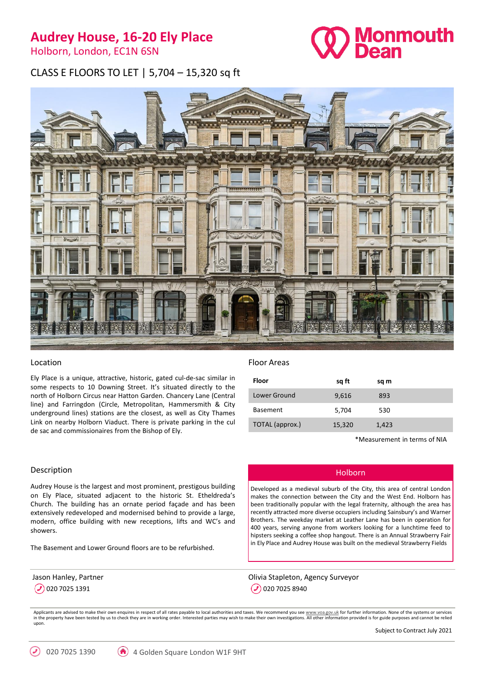## **Audrey House, 16-20 Ely Place**

Holborn, London, EC1N 6SN



CLASS E FLOORS TO LET | 5,704 – 15,320 sq ft



#### Location

Ely Place is a unique, attractive, historic, gated cul-de-sac similar in some respects to 10 Downing Street. It's situated directly to the north of Holborn Circus near Hatton Garden. Chancery Lane (Central line) and Farringdon (Circle, Metropolitan, Hammersmith & City underground lines) stations are the closest, as well as City Thames Link on nearby Holborn Viaduct. There is private parking in the cul de sac and commissionaires from the Bishop of Ely.

#### Description

Audrey House is the largest and most prominent, prestigous building on Ely Place, situated adjacent to the historic St. Etheldreda's Church. The building has an ornate period façade and has been extensively redeveloped and modernised behind to provide a large, modern, office building with new receptions, lifts and WC's and showers.

The Basement and Lower Ground floors are to be refurbished.

Jason Hanley, Partner  $($ ) 020 7025 1391

### Floor Areas

| Floor           | sq ft  | sq m  |  |
|-----------------|--------|-------|--|
| Lower Ground    | 9,616  | 893   |  |
| <b>Basement</b> | 5,704  | 530   |  |
| TOTAL (approx.) | 15,320 | 1,423 |  |
|                 |        |       |  |

\*Measurement in terms of NIA

#### Holborn

Developed as a medieval suburb of the City, this area of central London makes the connection between the City and the West End. Holborn has been traditionally popular with the legal fraternity, although the area has recently attracted more diverse occupiers including Sainsbury's and Warner Brothers. The weekday market at Leather Lane has been in operation for 400 years, serving anyone from workers looking for a lunchtime feed to hipsters seeking a coffee shop hangout. There is an Annual Strawberry Fair in Ely Place and Audrey House was built on the medieval Strawberry Fields

Olivia Stapleton, Agency Surveyor 0 020 7025 8940

Applicants are advised to make their own enquires in respect of all rates payable to local authorities and taxes. We recommend you see [www.voa.gov.uk](http://www.voa.gov.uk/) for further information. None of the systems or services in the property have been tested by us to check they are in working order. Interested parties may wish to make their own investigations. All other information provided is for guide purposes and cannot be relied upon.